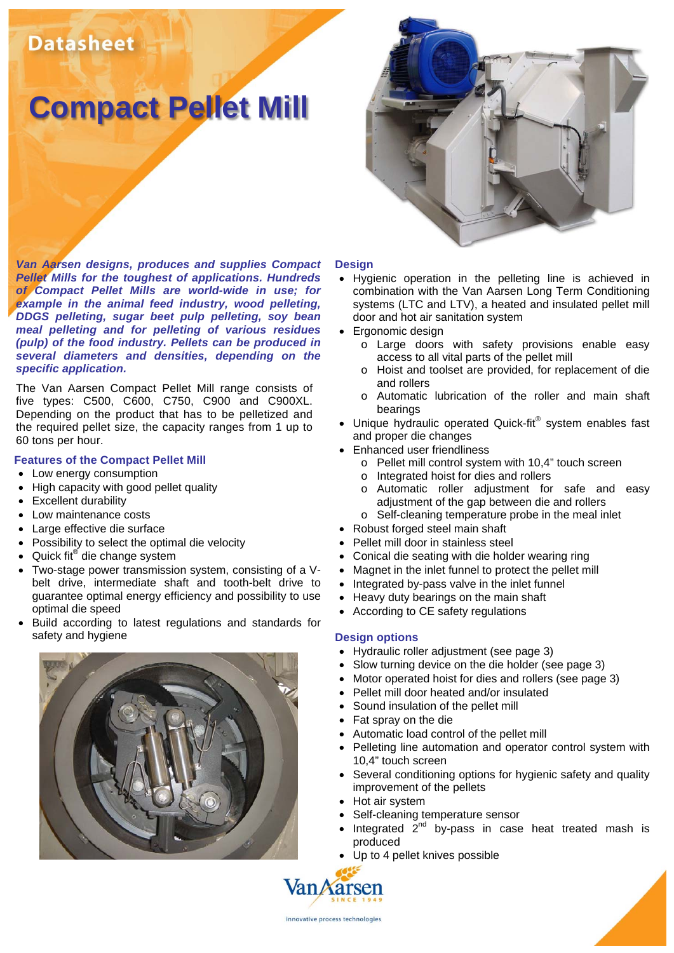# **Datasheet**

# **Compact Pellet Mill**

*Van Aarsen designs, produces and supplies Compact Pellet Mills for the toughest of applications. Hundreds of Compact Pellet Mills are world-wide in use; for example in the animal feed industry, wood pelleting, DDGS pelleting, sugar beet pulp pelleting, soy bean meal pelleting and for pelleting of various residues (pulp) of the food industry. Pellets can be produced in several diameters and densities, depending on the specific application.* 

The Van Aarsen Compact Pellet Mill range consists of five types: C500, C600, C750, C900 and C900XL. Depending on the product that has to be pelletized and the required pellet size, the capacity ranges from 1 up to 60 tons per hour.

#### **Features of the Compact Pellet Mill**

- Low energy consumption
- High capacity with good pellet quality
- Excellent durability
- Low maintenance costs
- Large effective die surface
- Possibility to select the optimal die velocity
- Quick fit® die change system
- Two-stage power transmission system, consisting of a Vbelt drive, intermediate shaft and tooth-belt drive to guarantee optimal energy efficiency and possibility to use optimal die speed
- Build according to latest regulations and standards for safety and hygiene





#### **Design**

- Hygienic operation in the pelleting line is achieved in combination with the Van Aarsen Long Term Conditioning systems (LTC and LTV), a heated and insulated pellet mill door and hot air sanitation system
- Ergonomic design
	- o Large doors with safety provisions enable easy access to all vital parts of the pellet mill
	- o Hoist and toolset are provided, for replacement of die and rollers
	- o Automatic lubrication of the roller and main shaft bearings
- Unique hydraulic operated Quick-fit® system enables fast and proper die changes
- Enhanced user friendliness
	- o Pellet mill control system with 10,4" touch screen
	- o Integrated hoist for dies and rollers
	- o Automatic roller adjustment for safe and easy adjustment of the gap between die and rollers
	- o Self-cleaning temperature probe in the meal inlet
- Robust forged steel main shaft
- Pellet mill door in stainless steel
- Conical die seating with die holder wearing ring
- Magnet in the inlet funnel to protect the pellet mill
- Integrated by-pass valve in the inlet funnel
- Heavy duty bearings on the main shaft
- According to CE safety regulations

#### **Design options**

- Hydraulic roller adjustment (see page 3)
- Slow turning device on the die holder (see page 3)
- Motor operated hoist for dies and rollers (see page 3)
- Pellet mill door heated and/or insulated
- Sound insulation of the pellet mill
- Fat spray on the die
- Automatic load control of the pellet mill
- Pelleting line automation and operator control system with 10,4" touch screen
- Several conditioning options for hygienic safety and quality improvement of the pellets
- Hot air system
- Self-cleaning temperature sensor
- Integrated  $2^{nd}$  by-pass in case heat treated mash is produced
- Up to 4 pellet knives possible

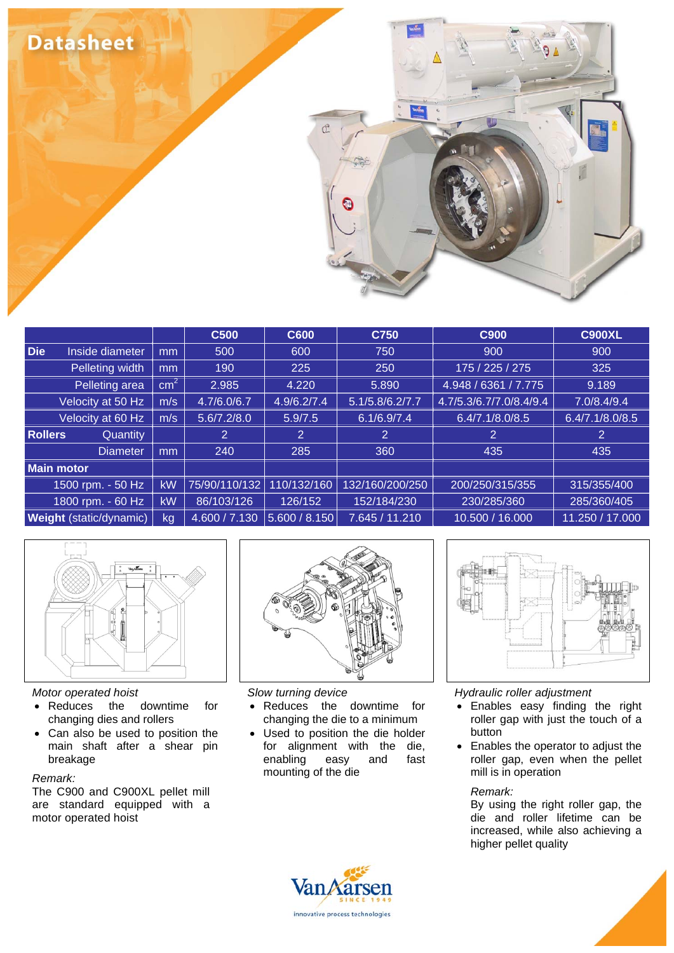

|                                            |                       | <b>C500</b>    | C600           | C750            | C900                    | <b>C900XL</b>   |  |
|--------------------------------------------|-----------------------|----------------|----------------|-----------------|-------------------------|-----------------|--|
| Die<br>Inside diameter                     | 500<br>m <sub>m</sub> |                | 600            | 750             | 900                     | 900             |  |
| Pelleting width                            | 190<br>m <sub>m</sub> |                | 225            | 250             | 175 / 225 / 275         | 325             |  |
| $\overline{\text{cm}^2}$<br>Pelleting area |                       | 2.985          | 4.220          | 5.890           | 4.948 / 6361 / 7.775    | 9.189           |  |
| Velocity at 50 Hz<br>m/s                   |                       | 4.7/6.0/6.7    | 4.9/6.2/7.4    | 5.1/5.8/6.2/7.7 | 4.7/5.3/6.7/7.0/8.4/9.4 | 7.0/8.4/9.4     |  |
| Velocity at 60 Hz<br>m/s                   |                       | 5.6/7.2/8.0    | 5.9/7.5        | 6.1/6.9/7.4     | 6.4/7.1/8.0/8.5         | 6.4/7.1/8.0/8.5 |  |
| <b>Rollers</b><br>Quantity                 |                       | $\overline{2}$ | $\overline{2}$ | 2               | 2                       | 2.              |  |
| <b>Diameter</b>                            | mm                    | 240            | 285            | 360             | 435                     | 435             |  |
| <b>Main motor</b>                          |                       |                |                |                 |                         |                 |  |
| 1500 rpm. - 50 Hz                          | <b>kW</b>             | 75/90/110/132  | 110/132/160    | 132/160/200/250 | 200/250/315/355         | 315/355/400     |  |
| 1800 rpm. - 60 Hz                          | kW                    | 86/103/126     | 126/152        | 152/184/230     | 230/285/360             | 285/360/405     |  |
| <b>Weight</b> (static/dynamic)             | kg                    | 4.600 / 7.130  | 5.600 / 8.150  | 7.645 / 11.210  | 10.500 / 16.000         | 11.250 / 17.000 |  |



#### *Motor operated hoist*

- Reduces the downtime for changing dies and rollers
- Can also be used to position the main shaft after a shear pin breakage

#### *Remark:*

The C900 and C900XL pellet mill are standard equipped with a motor operated hoist



# *Slow turning device*

- Reduces the downtime for changing the die to a minimum
- Used to position the die holder for alignment with the die, enabling easy and fast mounting of the die



# *Hydraulic roller adjustment*

- Enables easy finding the right roller gap with just the touch of a **button**
- Enables the operator to adjust the roller gap, even when the pellet mill is in operation

# *Remark:*

By using the right roller gap, the die and roller lifetime can be increased, while also achieving a higher pellet quality